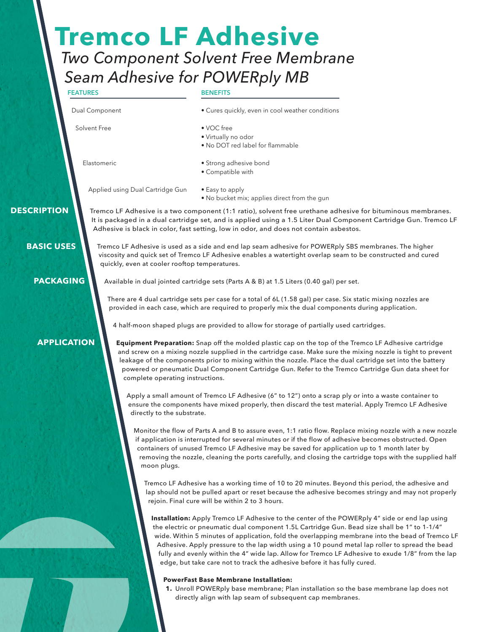# *Two Component Solvent Free Membrane Seam Adhesive for POWERply MB* **Tremco LF Adhesive**

**FEATURES**

#### **BENEFITS**

| Dual Component |
|----------------|
|                |

Solvent Free

- 
- VOC free • Virtually no odor
- No DOT red label for flammable

Elastomeric

• Strong adhesive bond • Compatible with

Applied using Dual Cartridge Gun

• Easy to apply • No bucket mix; applies direct from the gun

• Cures quickly, even in cool weather conditions

Tremco LF Adhesive is a two component (1:1 ratio), solvent free urethane adhesive for bituminous membranes. It is packaged in a dual cartridge set, and is applied using a 1.5 Liter Dual Component Cartridge Gun. Tremco LF Adhesive is black in color, fast setting, low in odor, and does not contain asbestos.

Tremco LF Adhesive is used as a side and end lap seam adhesive for POWERply SBS membranes. The higher viscosity and quick set of Tremco LF Adhesive enables a watertight overlap seam to be constructed and cured quickly, even at cooler rooftop temperatures.

**PACKAGING**

 **BASIC USES**

 **DESCRIPTION**

Available in dual jointed cartridge sets (Parts A & B) at 1.5 Liters (0.40 gal) per set.

There are 4 dual cartridge sets per case for a total of 6L (1.58 gal) per case. Six static mixing nozzles are provided in each case, which are required to properly mix the dual components during application.

4 half-moon shaped plugs are provided to allow for storage of partially used cartridges.

## **APPLICATION**

**Equipment Preparation:** Snap off the molded plastic cap on the top of the Tremco LF Adhesive cartridge and screw on a mixing nozzle supplied in the cartridge case. Make sure the mixing nozzle is tight to prevent leakage of the components prior to mixing within the nozzle. Place the dual cartridge set into the battery powered or pneumatic Dual Component Cartridge Gun. Refer to the Tremco Cartridge Gun data sheet for complete operating instructions.

Apply a small amount of Tremco LF Adhesive (6" to 12") onto a scrap ply or into a waste container to ensure the components have mixed properly, then discard the test material. Apply Tremco LF Adhesive directly to the substrate.

Monitor the flow of Parts A and B to assure even, 1:1 ratio flow. Replace mixing nozzle with a new nozzle if application is interrupted for several minutes or if the flow of adhesive becomes obstructed. Open containers of unused Tremco LF Adhesive may be saved for application up to 1 month later by removing the nozzle, cleaning the ports carefully, and closing the cartridge tops with the supplied half moon plugs.

Tremco LF Adhesive has a working time of 10 to 20 minutes. Beyond this period, the adhesive and lap should not be pulled apart or reset because the adhesive becomes stringy and may not properly rejoin. Final cure will be within 2 to 3 hours.

**Installation:** Apply Tremco LF Adhesive to the center of the POWERply 4" side or end lap using the electric or pneumatic dual component 1.5L Cartridge Gun. Bead size shall be 1" to 1-1/4" wide. Within 5 minutes of application, fold the overlapping membrane into the bead of Tremco LF Adhesive. Apply pressure to the lap width using a 10 pound metal lap roller to spread the bead fully and evenly within the 4" wide lap. Allow for Tremco LF Adhesive to exude 1/8" from the lap edge, but take care not to track the adhesive before it has fully cured.

#### **PowerFast Base Membrane Installation:**

**1.** Unroll POWERply base membrane; Plan installation so the base membrane lap does not directly align with lap seam of subsequent cap membranes.